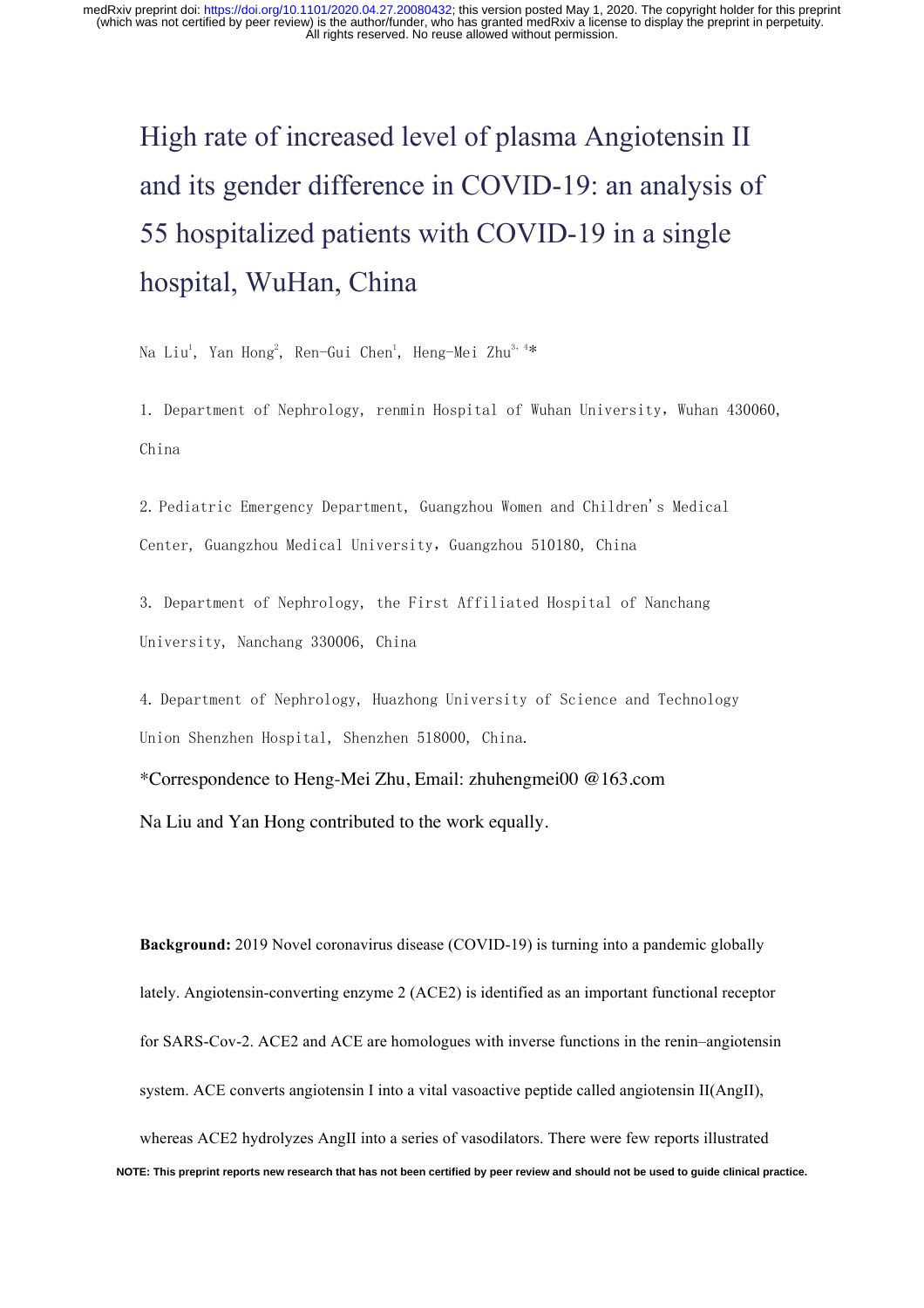# High rate of increased level of plasma Angiotensin II and its gender difference in COVID-19: an analysis of 55 hospitalized patients with COVID-19 in a single hospital, WuHan, China

Na Liu<sup>1</sup>, Yan Hong<sup>2</sup>, Ren-Gui Chen<sup>1</sup>, Heng-Mei Zhu<sup>3, 4</sup>\*

1. Department of Nephrology, renmin Hospital of Wuhan University, Wuhan 430060, China

2. Pediatric Emergency Department, Guangzhou Women and Children's Medical Center, Guangzhou Medical University, Guangzhou 510180, China

3. Department of Nephrology, the First Affiliated Hospital of Nanchang University, Nanchang 330006, China

4. Department of Nephrology, Huazhong University of Science and Technology Union Shenzhen Hospital, Shenzhen 518000, China.

\*Correspondence to Heng-Mei Zhu, Email: zhuhengmei00 @163.com

Na Liu and Yan Hong contributed to the work equally.

**Background:** 2019 Novel coronavirus disease (COVID-19) is turning into a pandemic globally lately. Angiotensin-converting enzyme 2 (ACE2) is identified as an important functional receptor for SARS-Cov-2. ACE2 and ACE are homologues with inverse functions in the renin–angiotensin system. ACE converts angiotensin I into a vital vasoactive peptide called angiotensin II(AngII), whereas ACE2 hydrolyzes AngII into a series of vasodilators. There were few reports illustrated **NOTE: This preprint reports new research that has not been certified by peer review and should not be used to guide clinical practice.**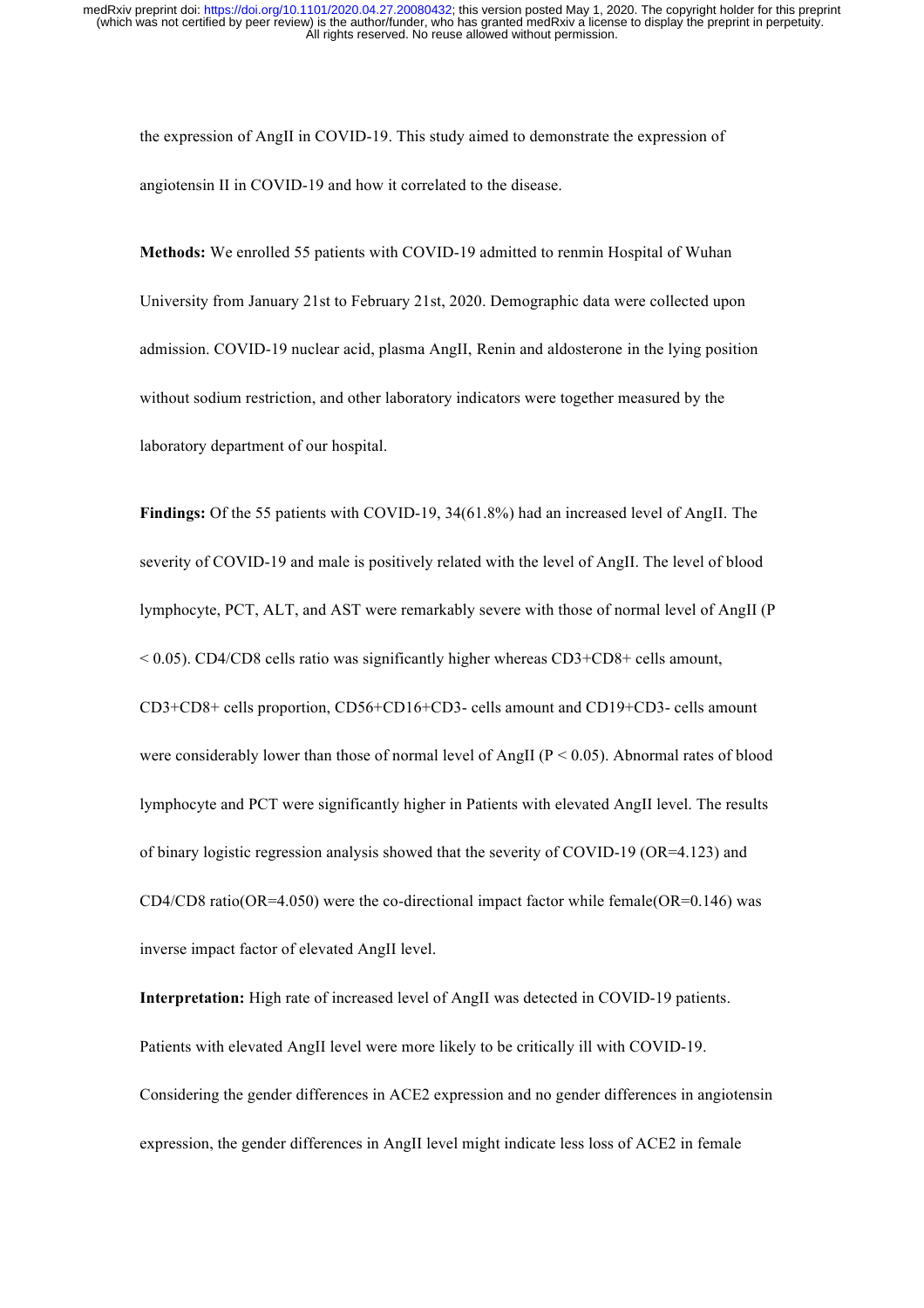the expression of AngII in COVID-19. This study aimed to demonstrate the expression of angiotensin II in COVID-19 and how it correlated to the disease.

**Methods:** We enrolled 55 patients with COVID-19 admitted to renmin Hospital of Wuhan University from January 21st to February 21st, 2020. Demographic data were collected upon admission. COVID-19 nuclear acid, plasma AngII, Renin and aldosterone in the lying position without sodium restriction, and other laboratory indicators were together measured by the laboratory department of our hospital.

**Findings:** Of the 55 patients with COVID-19, 34(61.8%) had an increased level of AngII. The severity of COVID-19 and male is positively related with the level of AngII. The level of blood lymphocyte, PCT, ALT, and AST were remarkably severe with those of normal level of AngII (P  $< 0.05$ ). CD4/CD8 cells ratio was significantly higher whereas CD3+CD8+ cells amount, CD3+CD8+ cells proportion, CD56+CD16+CD3- cells amount and CD19+CD3- cells amount were considerably lower than those of normal level of AngII ( $P < 0.05$ ). Abnormal rates of blood lymphocyte and PCT were significantly higher in Patients with elevated AngII level. The results of binary logistic regression analysis showed that the severity of COVID-19 (OR=4.123) and CD4/CD8 ratio(OR=4.050) were the co-directional impact factor while female(OR=0.146) was inverse impact factor of elevated AngII level.

**Interpretation:** High rate of increased level of AngII was detected in COVID-19 patients. Patients with elevated AngII level were more likely to be critically ill with COVID-19. Considering the gender differences in ACE2 expression and no gender differences in angiotensin expression, the gender differences in AngII level might indicate less loss of ACE2 in female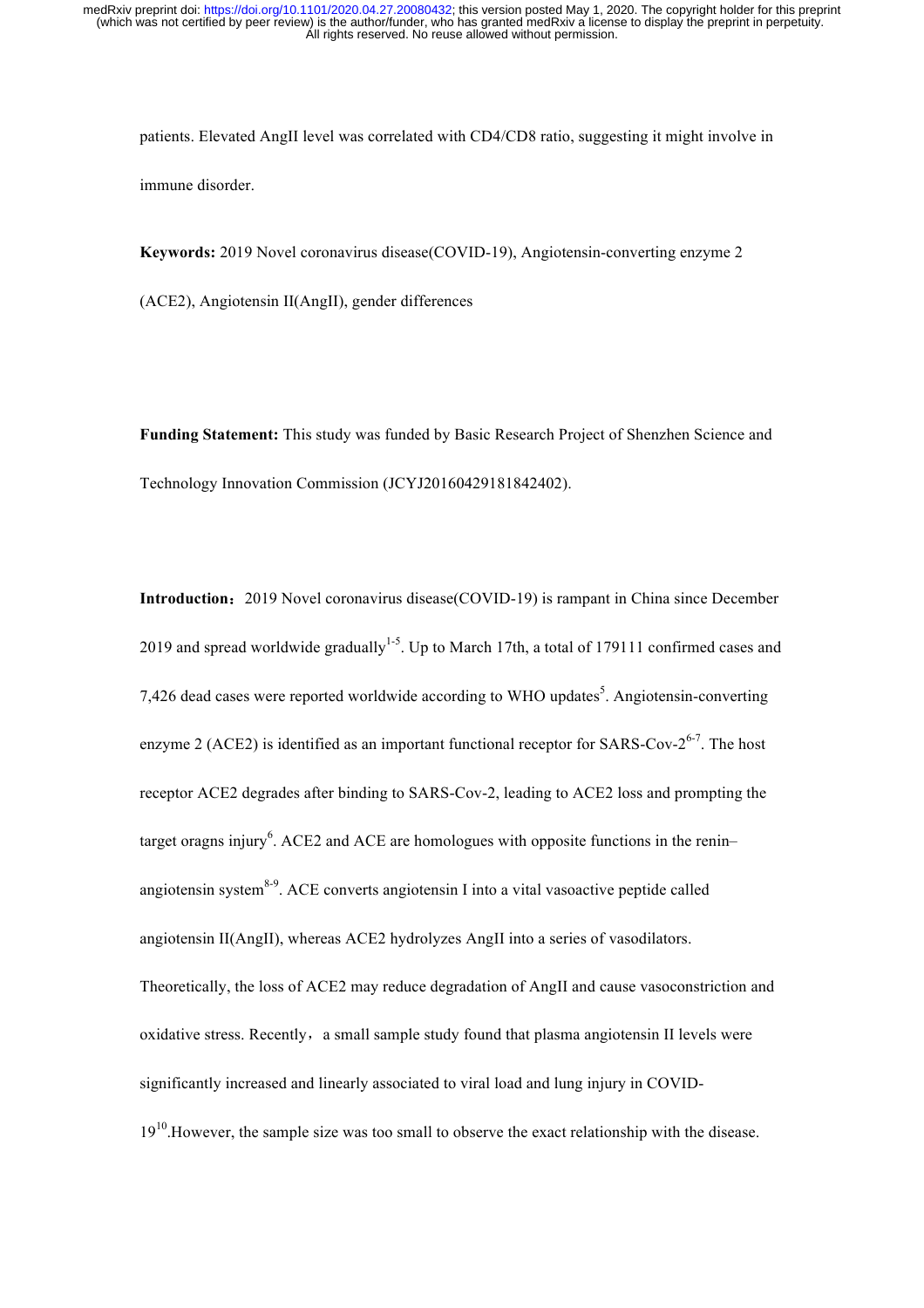patients. Elevated AngII level was correlated with CD4/CD8 ratio, suggesting it might involve in immune disorder.

**Keywords:** 2019 Novel coronavirus disease(COVID-19), Angiotensin-converting enzyme 2

(ACE2), Angiotensin II(AngII), gender differences

**Funding Statement:** This study was funded by Basic Research Project of Shenzhen Science and Technology Innovation Commission (JCYJ20160429181842402).

**Introduction**:2019 Novel coronavirus disease(COVID-19) is rampant in China since December 2019 and spread worldwide gradually<sup>1-5</sup>. Up to March 17th, a total of 179111 confirmed cases and 7,426 dead cases were reported worldwide according to WHO updates<sup>5</sup>. Angiotensin-converting enzyme 2 (ACE2) is identified as an important functional receptor for SARS-Cov- $2^{6-7}$ . The host receptor ACE2 degrades after binding to SARS-Cov-2, leading to ACE2 loss and prompting the target oragns injury<sup>6</sup>. ACE2 and ACE are homologues with opposite functions in the renin– angiotensin system $8-9$ . ACE converts angiotensin I into a vital vasoactive peptide called angiotensin II(AngII), whereas ACE2 hydrolyzes AngII into a series of vasodilators. Theoretically, the loss of ACE2 may reduce degradation of AngII and cause vasoconstriction and oxidative stress. Recently, a small sample study found that plasma angiotensin II levels were significantly increased and linearly associated to viral load and lung injury in COVID- $19<sup>10</sup>$ . However, the sample size was too small to observe the exact relationship with the disease.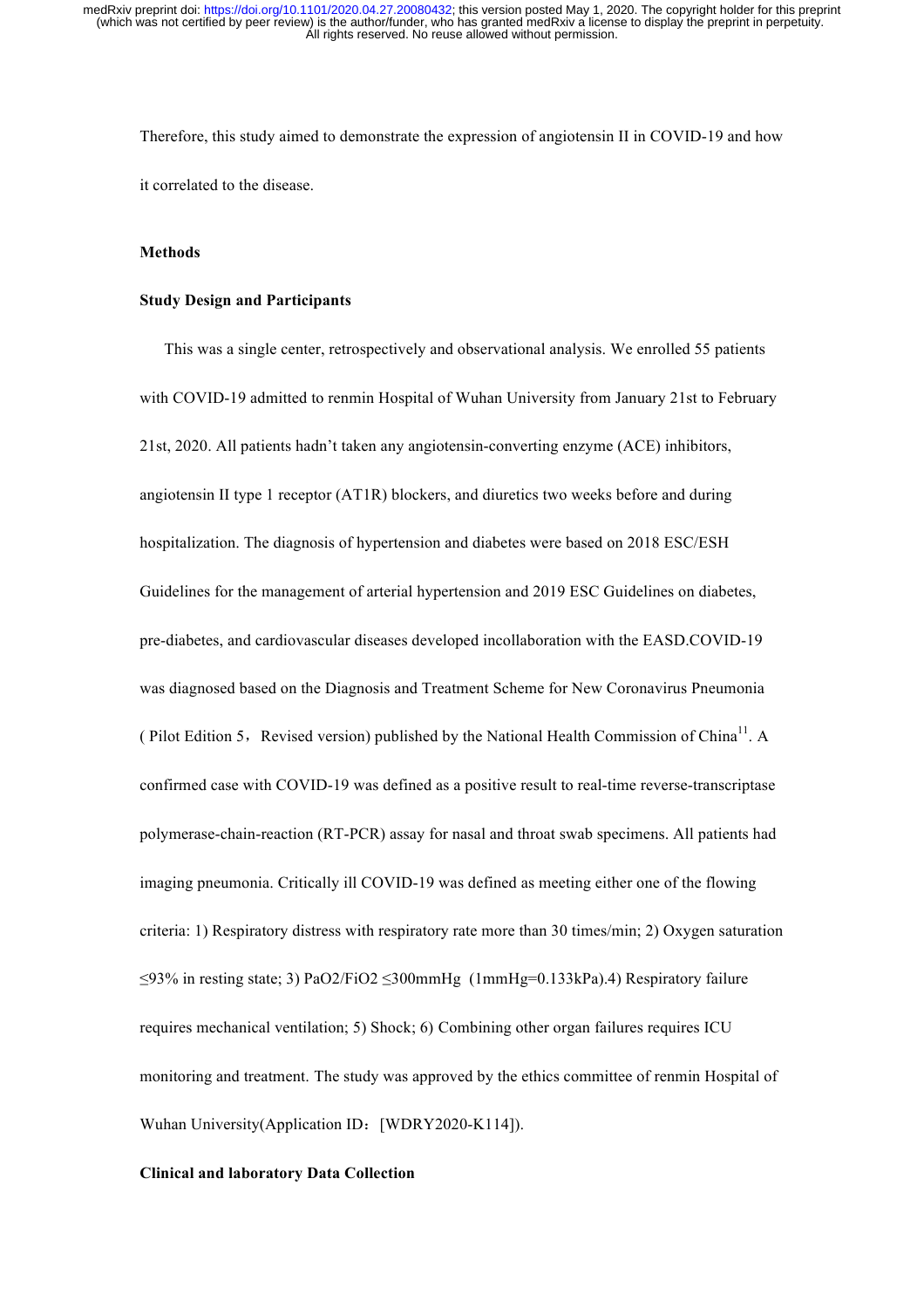Therefore, this study aimed to demonstrate the expression of angiotensin II in COVID-19 and how it correlated to the disease.

#### **Methods**

#### **Study Design and Participants**

 This was a single center, retrospectively and observational analysis. We enrolled 55 patients with COVID-19 admitted to renmin Hospital of Wuhan University from January 21st to February 21st, 2020. All patients hadn't taken any angiotensin-converting enzyme (ACE) inhibitors, angiotensin II type 1 receptor (AT1R) blockers, and diuretics two weeks before and during hospitalization. The diagnosis of hypertension and diabetes were based on 2018 ESC/ESH Guidelines for the management of arterial hypertension and 2019 ESC Guidelines on diabetes, pre-diabetes, and cardiovascular diseases developed incollaboration with the EASD.COVID-19 was diagnosed based on the Diagnosis and Treatment Scheme for New Coronavirus Pneumonia ( Pilot Edition 5, Revised version) published by the National Health Commission of China<sup>11</sup>. A confirmed case with COVID-19 was defined as a positive result to real-time reverse-transcriptase polymerase-chain-reaction (RT-PCR) assay for nasal and throat swab specimens. All patients had imaging pneumonia. Critically ill COVID-19 was defined as meeting either one of the flowing criteria: 1) Respiratory distress with respiratory rate more than 30 times/min; 2) Oxygen saturation ≤93% in resting state; 3) PaO2/FiO2 ≤300mmHg (1mmHg=0.133kPa).4) Respiratory failure requires mechanical ventilation; 5) Shock; 6) Combining other organ failures requires ICU monitoring and treatment. The study was approved by the ethics committee of renmin Hospital of Wuhan University(Application ID: [WDRY2020-K114]).

#### **Clinical and laboratory Data Collection**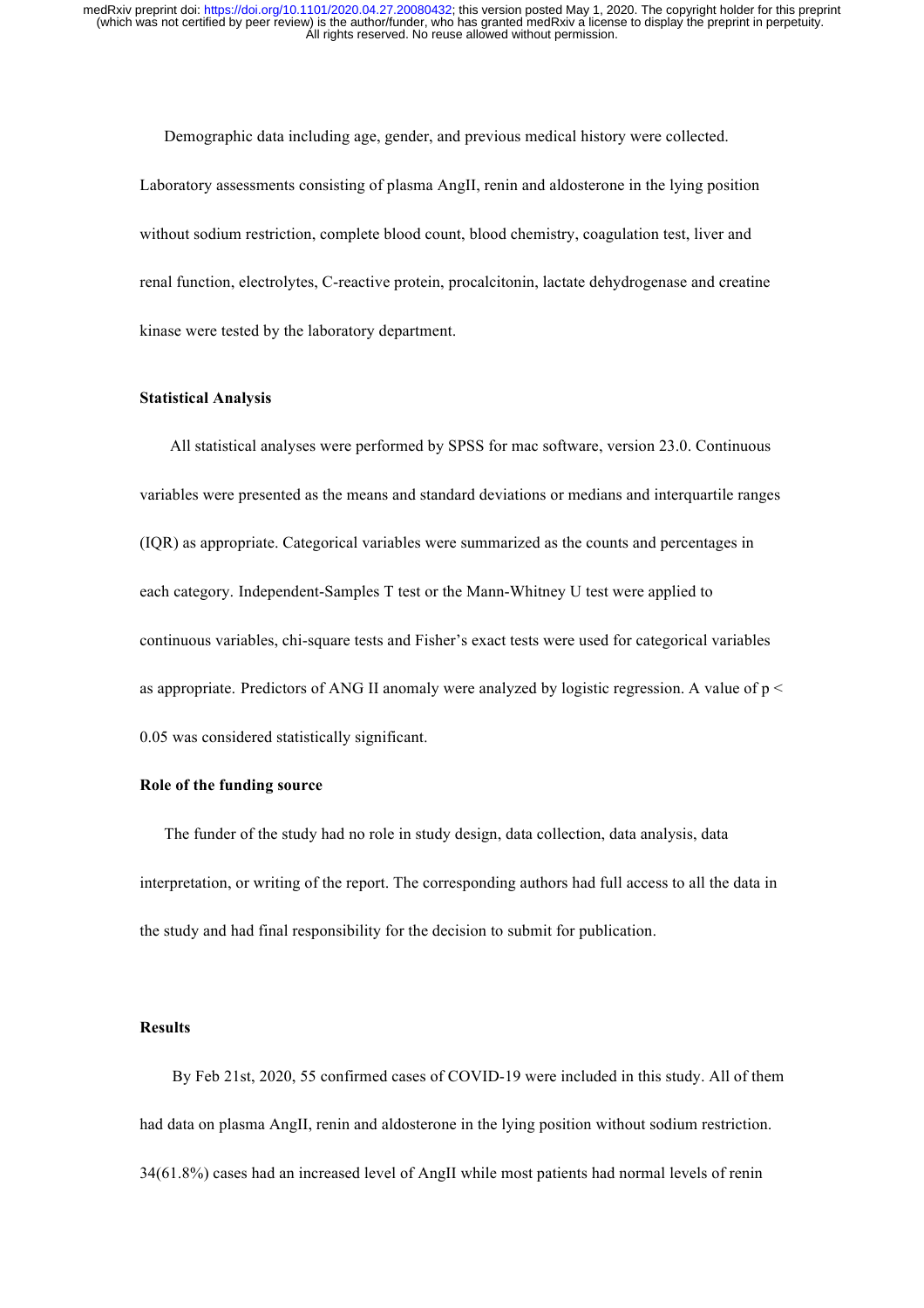Demographic data including age, gender, and previous medical history were collected. Laboratory assessments consisting of plasma AngII, renin and aldosterone in the lying position without sodium restriction, complete blood count, blood chemistry, coagulation test, liver and renal function, electrolytes, C-reactive protein, procalcitonin, lactate dehydrogenase and creatine kinase were tested by the laboratory department.

#### **Statistical Analysis**

 All statistical analyses were performed by SPSS for mac software, version 23.0. Continuous variables were presented as the means and standard deviations or medians and interquartile ranges (IQR) as appropriate. Categorical variables were summarized as the counts and percentages in each category. Independent-Samples T test or the Mann-Whitney U test were applied to continuous variables, chi-square tests and Fisher's exact tests were used for categorical variables as appropriate. Predictors of ANG II anomaly were analyzed by logistic regression. A value of  $p \leq$ 0.05 was considered statistically significant.

#### **Role of the funding source**

 The funder of the study had no role in study design, data collection, data analysis, data interpretation, or writing of the report. The corresponding authors had full access to all the data in the study and had final responsibility for the decision to submit for publication.

#### **Results**

 By Feb 21st, 2020, 55 confirmed cases of COVID-19 were included in this study. All of them had data on plasma AngII, renin and aldosterone in the lying position without sodium restriction. 34(61.8%) cases had an increased level of AngII while most patients had normal levels of renin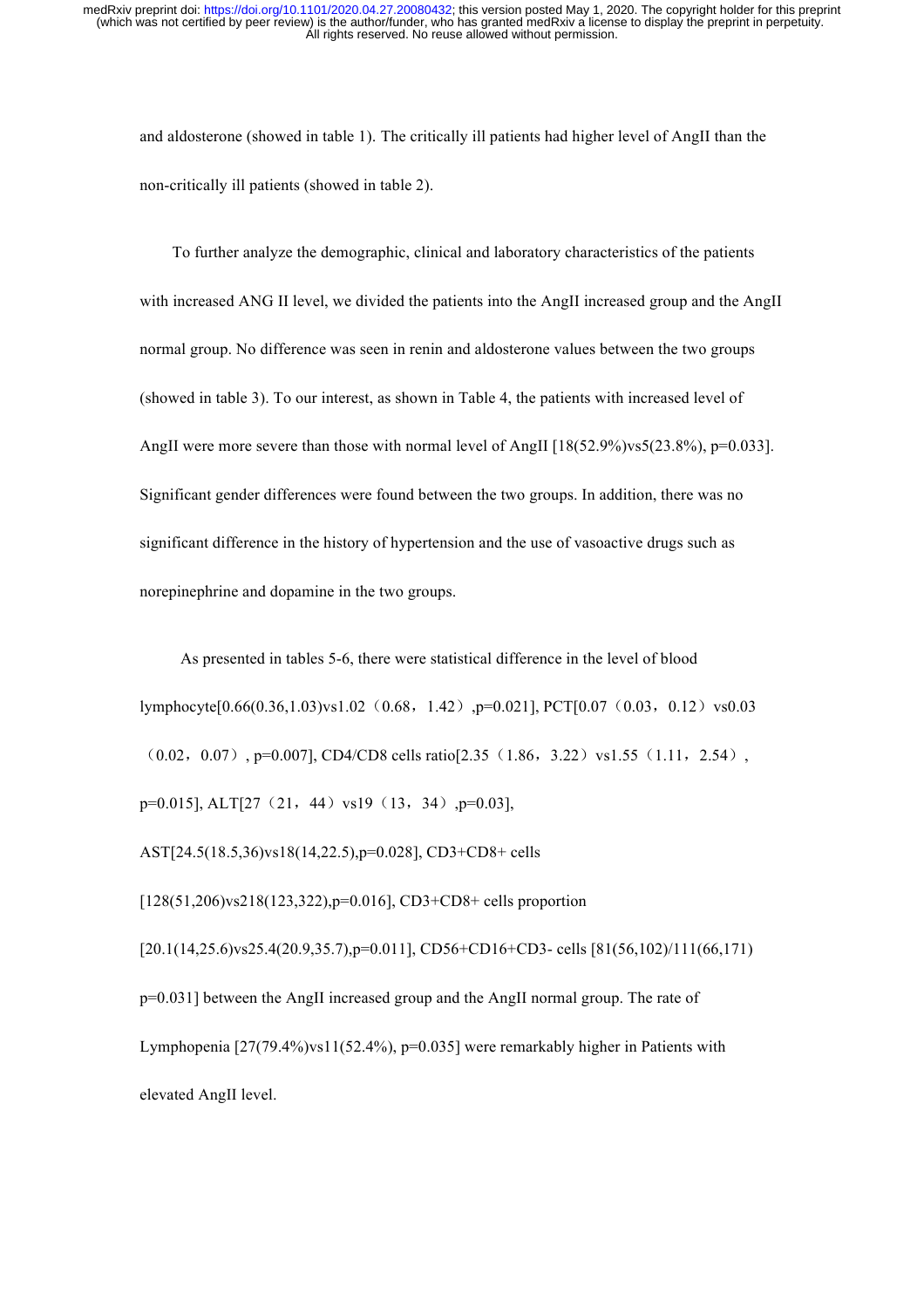and aldosterone (showed in table 1). The critically ill patients had higher level of AngII than the non-critically ill patients (showed in table 2).

 To further analyze the demographic, clinical and laboratory characteristics of the patients with increased ANG II level, we divided the patients into the AngII increased group and the AngII normal group. No difference was seen in renin and aldosterone values between the two groups (showed in table 3). To our interest, as shown in Table 4, the patients with increased level of AngII were more severe than those with normal level of AngII [18(52.9%)vs5(23.8%), p=0.033]. Significant gender differences were found between the two groups. In addition, there was no significant difference in the history of hypertension and the use of vasoactive drugs such as norepinephrine and dopamine in the two groups.

 As presented in tables 5-6, there were statistical difference in the level of blood  $lymphocvte[0.66(0.36,1.03)vsl.02$  (0.68, 1.42),p=0.021], PCT[0.07 (0.03, 0.12) vs0.03  $(0.02, 0.07)$ , p=0.007], CD4/CD8 cells ratio[2.35  $(1.86, 3.22)$  vs1.55 $(1.11, 2.54)$ , p=0.015], ALT[27 (21, 44) vs19 (13, 34) , p=0.03],

AST[24.5(18.5,36)vs18(14,22.5),p=0.028], CD3+CD8+ cells

[128(51,206)vs218(123,322),p=0.016], CD3+CD8+ cells proportion

[20.1(14,25.6)vs25.4(20.9,35.7),p=0.011], CD56+CD16+CD3- cells [81(56,102)/111(66,171) p=0.031] between the AngII increased group and the AngII normal group. The rate of Lymphopenia  $[27(79.4\%)$ ys $11(52.4\%)$ , p=0.035] were remarkably higher in Patients with elevated AngII level.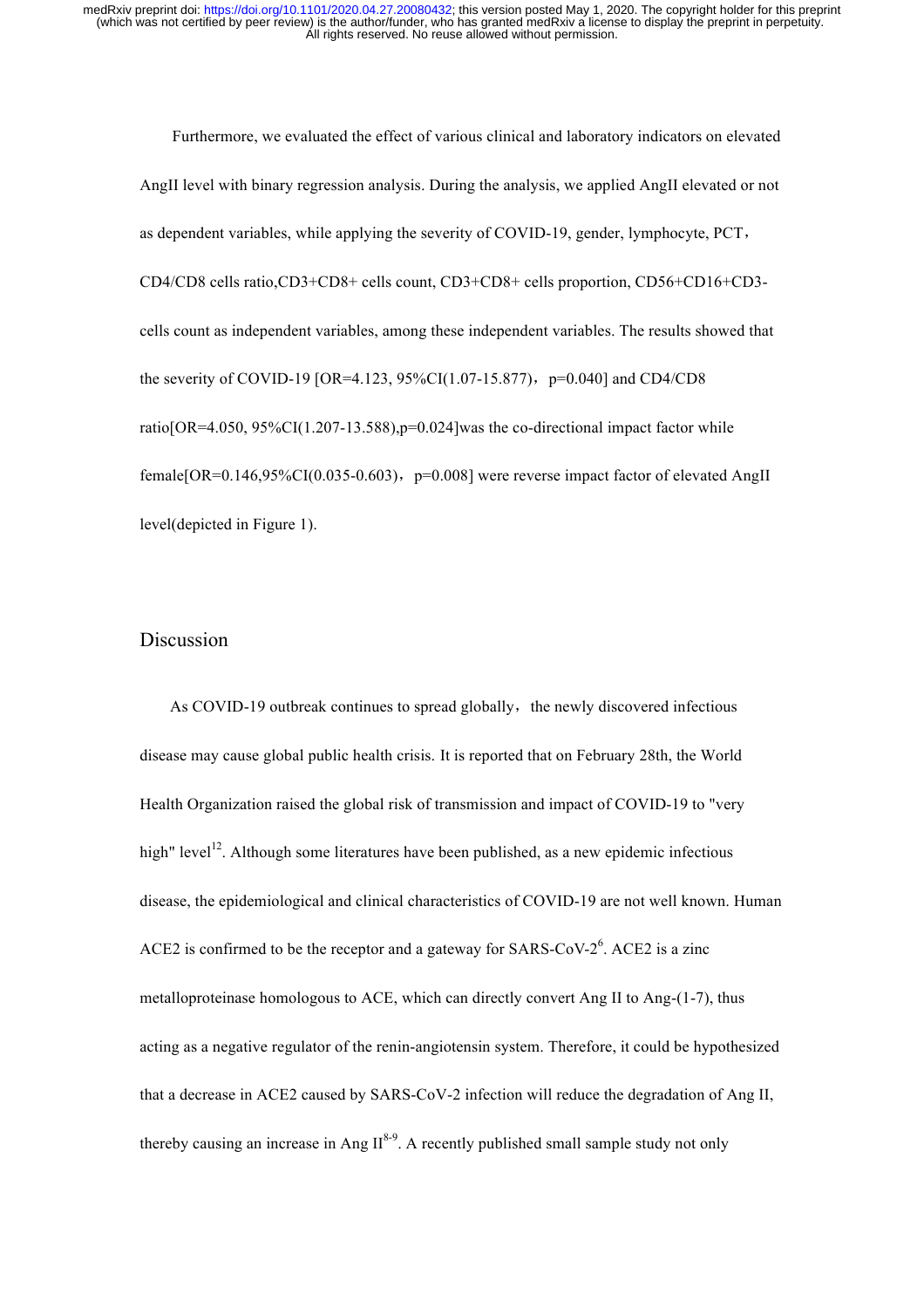Furthermore, we evaluated the effect of various clinical and laboratory indicators on elevated AngII level with binary regression analysis. During the analysis, we applied AngII elevated or not as dependent variables, while applying the severity of COVID-19, gender, lymphocyte, PCT, CD4/CD8 cells ratio,CD3+CD8+ cells count, CD3+CD8+ cells proportion, CD56+CD16+CD3 cells count as independent variables, among these independent variables. The results showed that the severity of COVID-19 [OR=4.123, 95%CI(1.07-15.877), p=0.040] and CD4/CD8 ratio[OR=4.050, 95%CI(1.207-13.588), $p=0.024$ ]was the co-directional impact factor while female $[OR=0.146,95\%CI(0.035-0.603), p=0.008]$  were reverse impact factor of elevated AngII level(depicted in Figure 1).

## Discussion

As COVID-19 outbreak continues to spread globally, the newly discovered infectious disease may cause global public health crisis. It is reported that on February 28th, the World Health Organization raised the global risk of transmission and impact of COVID-19 to "very high" level<sup>12</sup>. Although some literatures have been published, as a new epidemic infectious disease, the epidemiological and clinical characteristics of COVID-19 are not well known. Human ACE2 is confirmed to be the receptor and a gateway for SARS-CoV- $2^6$ . ACE2 is a zinc metalloproteinase homologous to ACE, which can directly convert Ang II to Ang-(1-7), thus acting as a negative regulator of the renin-angiotensin system. Therefore, it could be hypothesized that a decrease in ACE2 caused by SARS-CoV-2 infection will reduce the degradation of Ang II, thereby causing an increase in Ang  $II^{8-9}$ . A recently published small sample study not only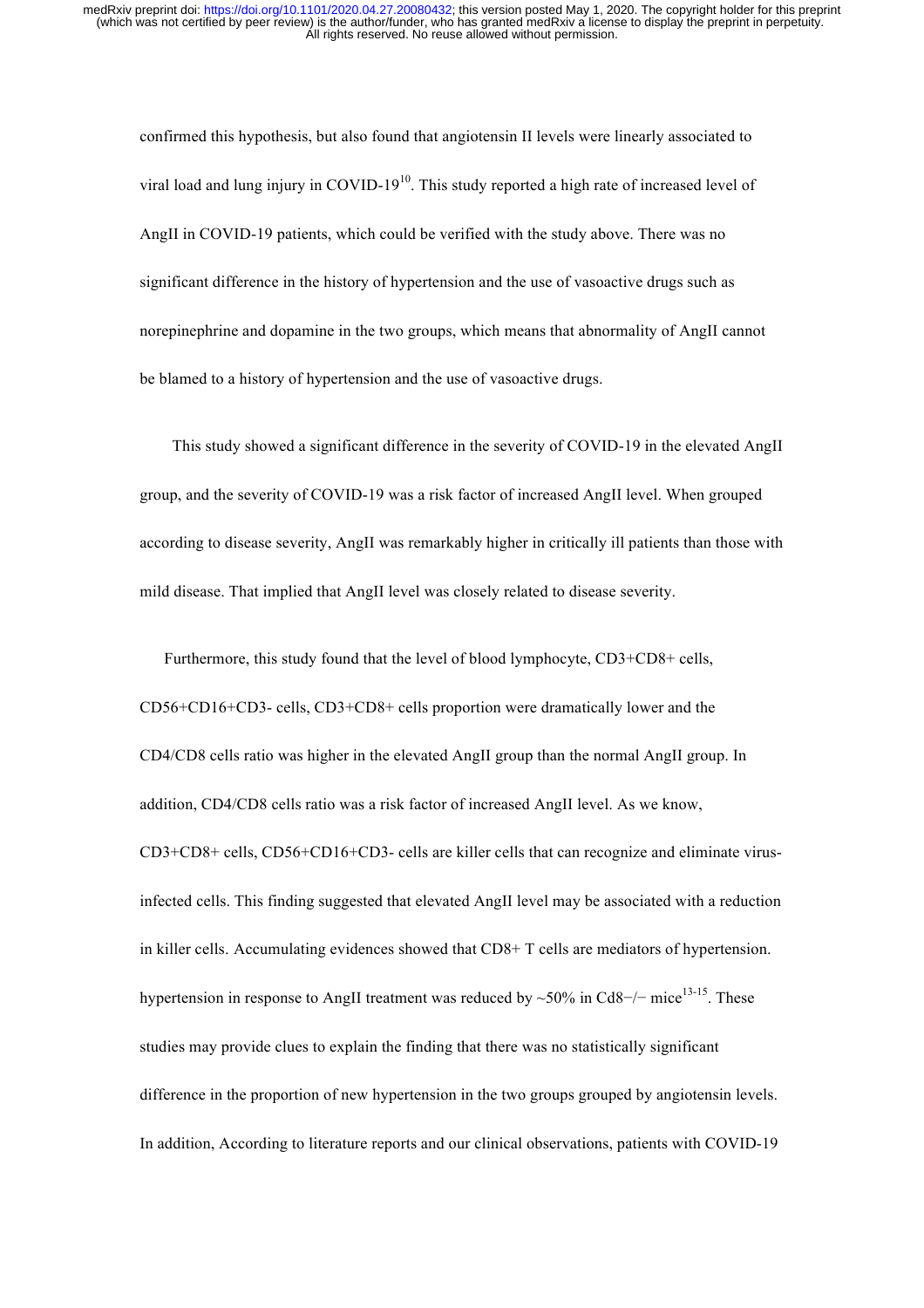confirmed this hypothesis, but also found that angiotensin II levels were linearly associated to viral load and lung injury in  $COVID-19^{10}$ . This study reported a high rate of increased level of AngII in COVID-19 patients, which could be verified with the study above. There was no significant difference in the history of hypertension and the use of vasoactive drugs such as norepinephrine and dopamine in the two groups, which means that abnormality of AngII cannot be blamed to a history of hypertension and the use of vasoactive drugs.

This study showed a significant difference in the severity of COVID-19 in the elevated AngII group, and the severity of COVID-19 was a risk factor of increased AngII level. When grouped according to disease severity, AngII was remarkably higher in critically ill patients than those with mild disease. That implied that AngII level was closely related to disease severity.

 Furthermore, this study found that the level of blood lymphocyte, CD3+CD8+ cells, CD56+CD16+CD3- cells, CD3+CD8+ cells proportion were dramatically lower and the CD4/CD8 cells ratio was higher in the elevated AngII group than the normal AngII group. In addition, CD4/CD8 cells ratio was a risk factor of increased AngII level. As we know, CD3+CD8+ cells, CD56+CD16+CD3- cells are killer cells that can recognize and eliminate virusinfected cells. This finding suggested that elevated AngII level may be associated with a reduction in killer cells. Accumulating evidences showed that CD8+ T cells are mediators of hypertension. hypertension in response to AngII treatment was reduced by ~50% in Cd8−/− mice<sup>13-15</sup>. These studies may provide clues to explain the finding that there was no statistically significant difference in the proportion of new hypertension in the two groups grouped by angiotensin levels. In addition, According to literature reports and our clinical observations, patients with COVID-19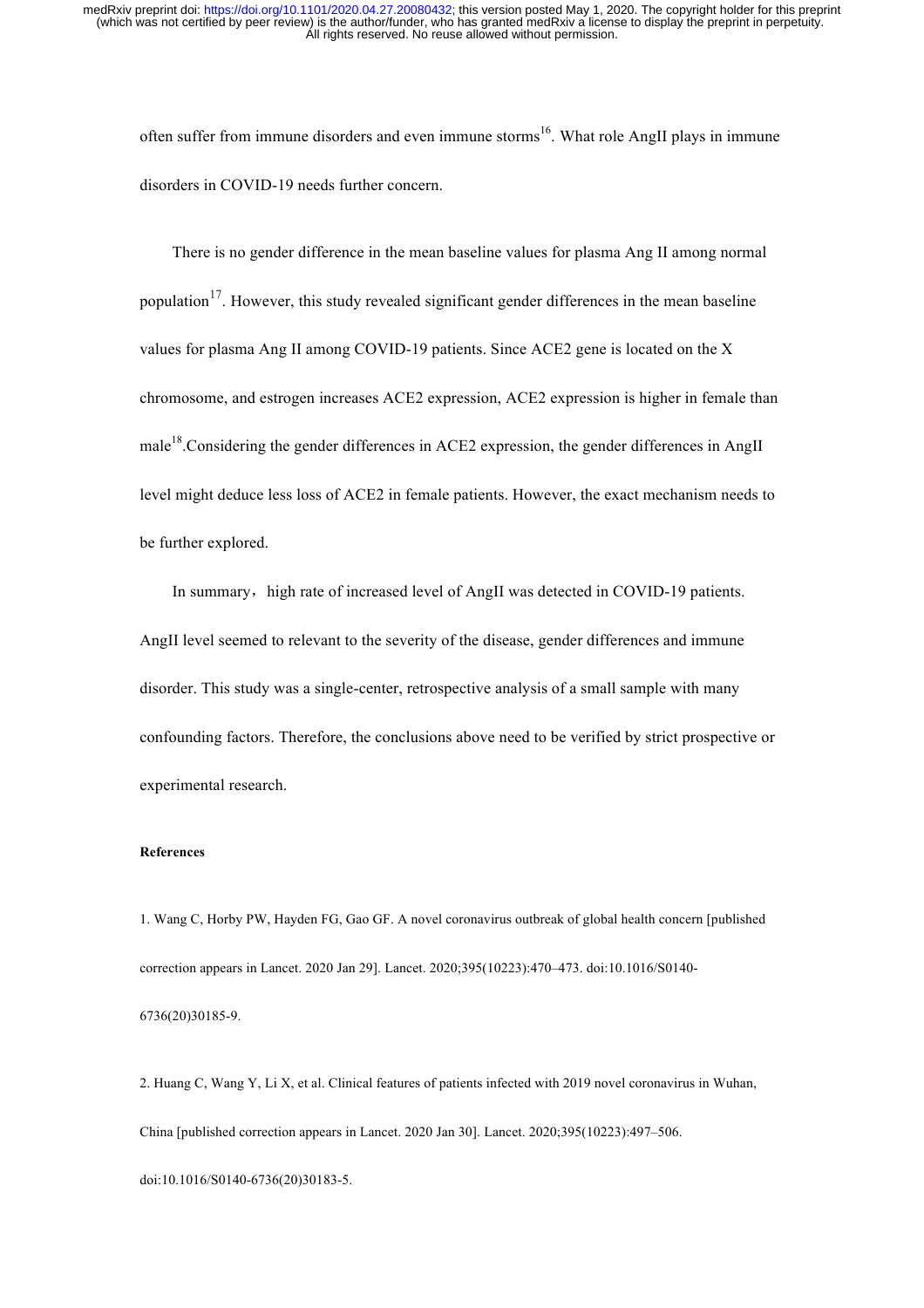often suffer from immune disorders and even immune storms<sup>16</sup>. What role AngII plays in immune disorders in COVID-19 needs further concern.

 There is no gender difference in the mean baseline values for plasma Ang II among normal population<sup>17</sup>. However, this study revealed significant gender differences in the mean baseline values for plasma Ang II among COVID-19 patients. Since ACE2 gene is located on the X chromosome, and estrogen increases ACE2 expression, ACE2 expression is higher in female than male<sup>18</sup>. Considering the gender differences in ACE2 expression, the gender differences in AngII level might deduce less loss of ACE2 in female patients. However, the exact mechanism needs to be further explored.

In summary, high rate of increased level of AngII was detected in COVID-19 patients. AngII level seemed to relevant to the severity of the disease, gender differences and immune disorder. This study was a single-center, retrospective analysis of a small sample with many confounding factors. Therefore, the conclusions above need to be verified by strict prospective or experimental research.

#### **References**

1. Wang C, Horby PW, Hayden FG, Gao GF. A novel coronavirus outbreak of global health concern [published correction appears in Lancet. 2020 Jan 29]. Lancet. 2020;395(10223):470–473. doi:10.1016/S0140- 6736(20)30185-9.

2. Huang C, Wang Y, Li X, et al. Clinical features of patients infected with 2019 novel coronavirus in Wuhan, China [published correction appears in Lancet. 2020 Jan 30]. Lancet. 2020;395(10223):497–506. doi:10.1016/S0140-6736(20)30183-5.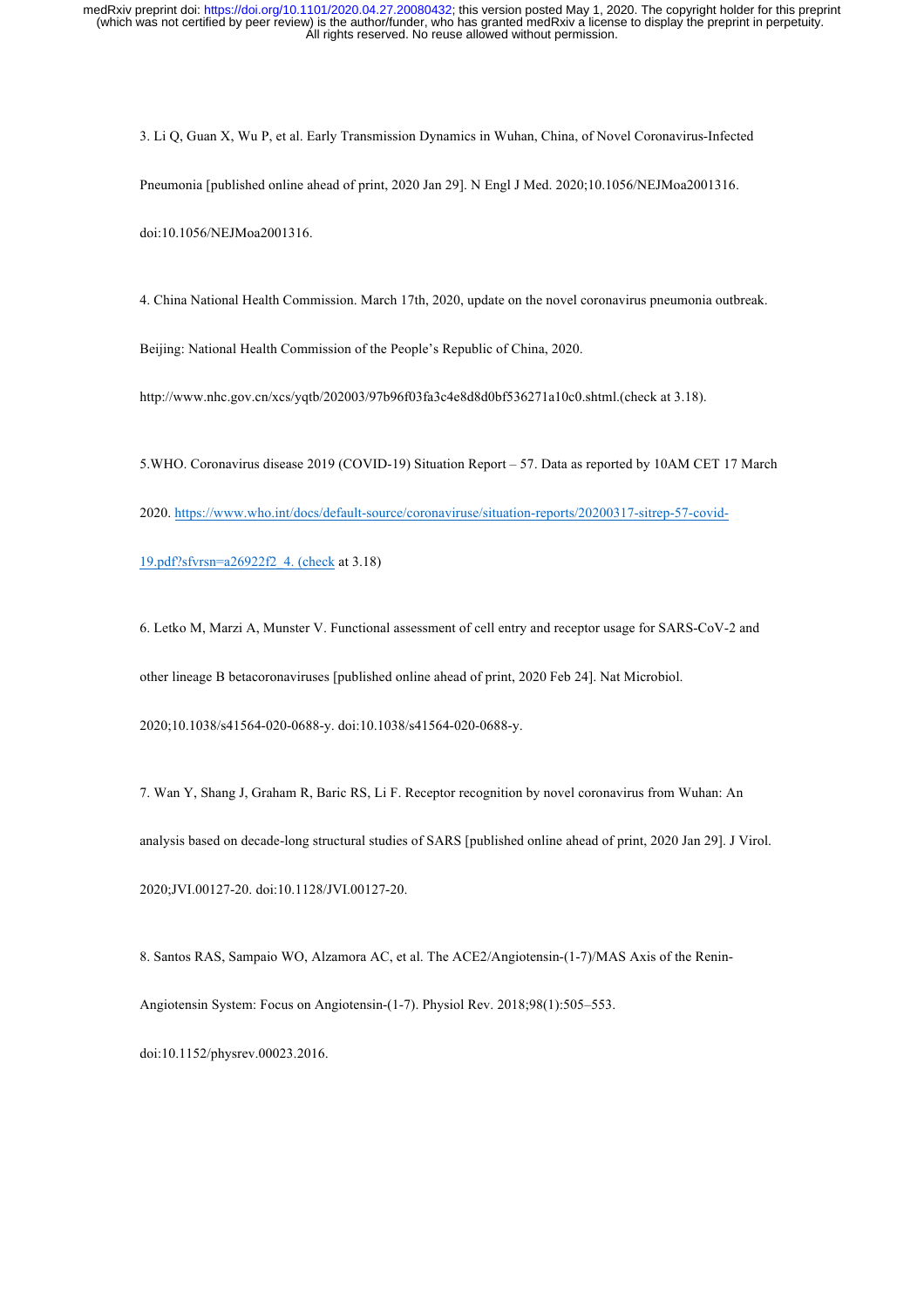3. Li Q, Guan X, Wu P, et al. Early Transmission Dynamics in Wuhan, China, of Novel Coronavirus-Infected Pneumonia [published online ahead of print, 2020 Jan 29]. N Engl J Med. 2020;10.1056/NEJMoa2001316. doi:10.1056/NEJMoa2001316.

4. China National Health Commission. March 17th, 2020, update on the novel coronavirus pneumonia outbreak.

Beijing: National Health Commission of the People's Republic of China, 2020.

http://www.nhc.gov.cn/xcs/yqtb/202003/97b96f03fa3c4e8d8d0bf536271a10c0.shtml.(check at 3.18).

5.WHO. Coronavirus disease 2019 (COVID-19) Situation Report – 57. Data as reported by 10AM CET 17 March

2020. https://www.who.int/docs/default-source/coronaviruse/situation-reports/20200317-sitrep-57-covid-

19.pdf?sfvrsn=a26922f2\_4. (check at 3.18)

6. Letko M, Marzi A, Munster V. Functional assessment of cell entry and receptor usage for SARS-CoV-2 and

other lineage B betacoronaviruses [published online ahead of print, 2020 Feb 24]. Nat Microbiol.

2020;10.1038/s41564-020-0688-y. doi:10.1038/s41564-020-0688-y.

7. Wan Y, Shang J, Graham R, Baric RS, Li F. Receptor recognition by novel coronavirus from Wuhan: An analysis based on decade-long structural studies of SARS [published online ahead of print, 2020 Jan 29]. J Virol. 2020;JVI.00127-20. doi:10.1128/JVI.00127-20.

8. Santos RAS, Sampaio WO, Alzamora AC, et al. The ACE2/Angiotensin-(1-7)/MAS Axis of the Renin-Angiotensin System: Focus on Angiotensin-(1-7). Physiol Rev. 2018;98(1):505–553.

doi:10.1152/physrev.00023.2016.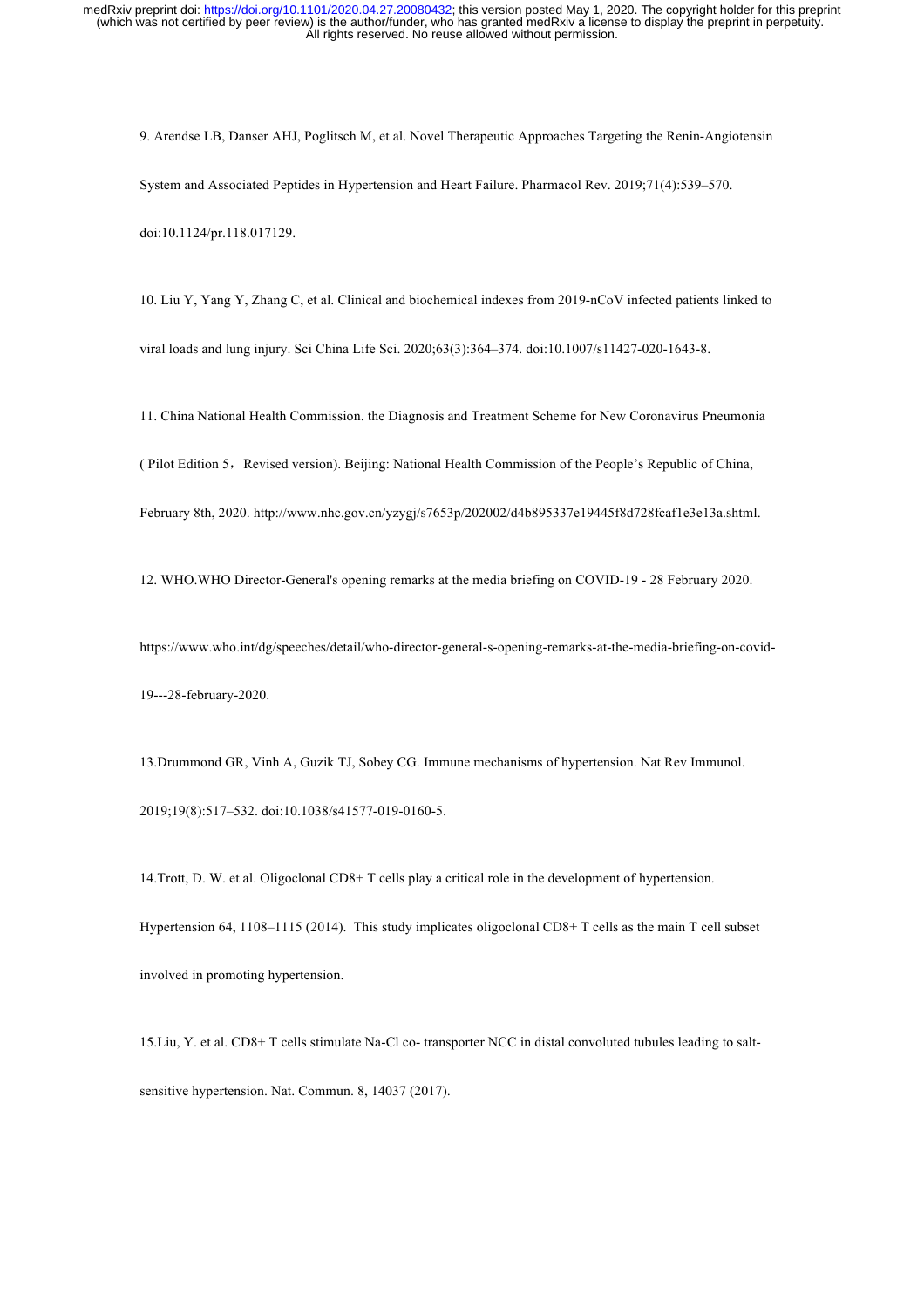9. Arendse LB, Danser AHJ, Poglitsch M, et al. Novel Therapeutic Approaches Targeting the Renin-Angiotensin System and Associated Peptides in Hypertension and Heart Failure. Pharmacol Rev. 2019;71(4):539–570. doi:10.1124/pr.118.017129.

10. Liu Y, Yang Y, Zhang C, et al. Clinical and biochemical indexes from 2019-nCoV infected patients linked to viral loads and lung injury. Sci China Life Sci. 2020;63(3):364–374. doi:10.1007/s11427-020-1643-8.

11. China National Health Commission. the Diagnosis and Treatment Scheme for New Coronavirus Pneumonia

( Pilot Edition 5, Revised version). Beijing: National Health Commission of the People's Republic of China,

February 8th, 2020. http://www.nhc.gov.cn/yzygj/s7653p/202002/d4b895337e19445f8d728fcaf1e3e13a.shtml.

12. WHO.WHO Director-General's opening remarks at the media briefing on COVID-19 - 28 February 2020.

https://www.who.int/dg/speeches/detail/who-director-general-s-opening-remarks-at-the-media-briefing-on-covid-19---28-february-2020.

13.Drummond GR, Vinh A, Guzik TJ, Sobey CG. Immune mechanisms of hypertension. Nat Rev Immunol. 2019;19(8):517–532. doi:10.1038/s41577-019-0160-5.

14.Trott, D. W. et al. Oligoclonal CD8+ T cells play a critical role in the development of hypertension. Hypertension 64, 1108–1115 (2014). This study implicates oligoclonal CD8+ T cells as the main T cell subset involved in promoting hypertension.

15.Liu, Y. et al. CD8+ T cells stimulate Na-Cl co- transporter NCC in distal convoluted tubules leading to saltsensitive hypertension. Nat. Commun. 8, 14037 (2017).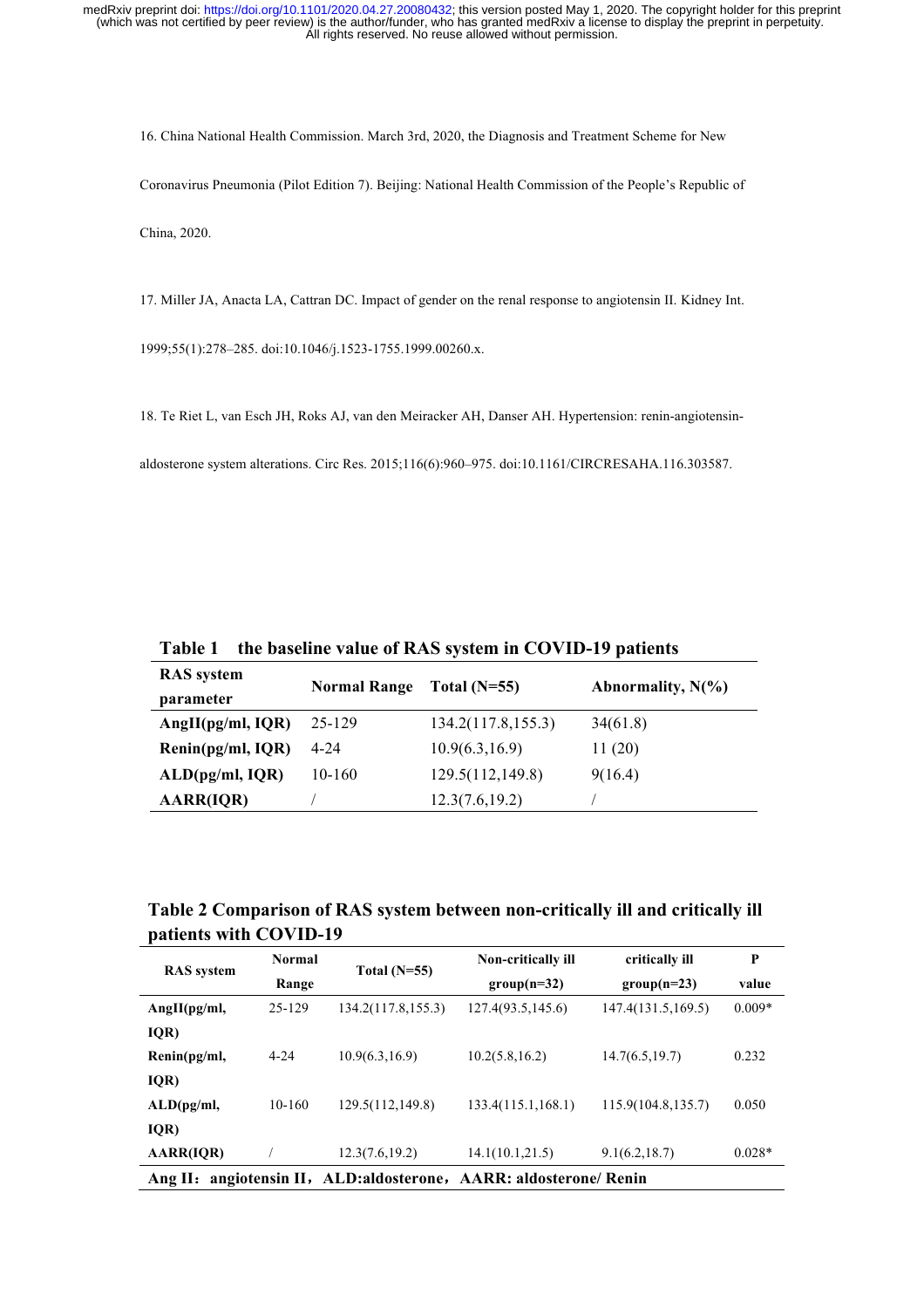16. China National Health Commission. March 3rd, 2020, the Diagnosis and Treatment Scheme for New Coronavirus Pneumonia (Pilot Edition 7). Beijing: National Health Commission of the People's Republic of China, 2020.

17. Miller JA, Anacta LA, Cattran DC. Impact of gender on the renal response to angiotensin II. Kidney Int.

1999;55(1):278–285. doi:10.1046/j.1523-1755.1999.00260.x.

18. Te Riet L, van Esch JH, Roks AJ, van den Meiracker AH, Danser AH. Hypertension: renin-angiotensin-

aldosterone system alterations. Circ Res. 2015;116(6):960–975. doi:10.1161/CIRCRESAHA.116.303587.

**Table 1 the baseline value of RAS system in COVID-19 patients** 

| <b>RAS</b> system     | <b>Normal Range</b> | Total $(N=55)$     | Abnormality, $N(\% )$ |  |
|-----------------------|---------------------|--------------------|-----------------------|--|
| parameter             |                     |                    |                       |  |
| AngII( $pg/ml$ , IQR) | 25-129              | 134.2(117.8,155.3) | 34(61.8)              |  |
| Renin(pg/ml, IQR)     | $4 - 24$            | 10.9(6.3, 16.9)    | 11(20)                |  |
| ALD(pg/ml, IQR)       | 10-160              | 129.5(112,149.8)   | 9(16.4)               |  |
| <b>AARR(IQR)</b>      |                     | 12.3(7.6,19.2)     |                       |  |

**Table 2 Comparison of RAS system between non-critically ill and critically ill patients with COVID-19** 

| <b>RAS</b> system                         | Normal   |                                                            | <b>Non-critically ill</b> | critically ill      | P        |
|-------------------------------------------|----------|------------------------------------------------------------|---------------------------|---------------------|----------|
|                                           | Range    | Total $(N=55)$                                             | $group(n=32)$             | $group(n=23)$       | value    |
| Ang II(pg/ml,                             | 25-129   | 134.2(117.8, 155.3)                                        | 127.4(93.5, 145.6)        | 147.4(131.5,169.5)  | $0.009*$ |
| IQR)                                      |          |                                                            |                           |                     |          |
| $\mathbf{Renin}(\mathbf{pg}/\mathbf{ml})$ | $4 - 24$ | 10.9(6.3, 16.9)                                            | 10.2(5.8, 16.2)           | 14.7(6.5, 19.7)     | 0.232    |
| IQR)                                      |          |                                                            |                           |                     |          |
| ALD(pg/ml,                                | 10-160   | 129.5(112,149.8)                                           | 133.4(115.1, 168.1)       | 115.9(104.8, 135.7) | 0.050    |
| IQR)                                      |          |                                                            |                           |                     |          |
| AARR(IQR)                                 |          | 12.3(7.6,19.2)                                             | 14.1(10.1, 21.5)          | 9.1(6.2, 18.7)      | $0.028*$ |
| Ang II:                                   |          | angiotensin II, ALD: aldosterone, AARR: aldosterone/ Renin |                           |                     |          |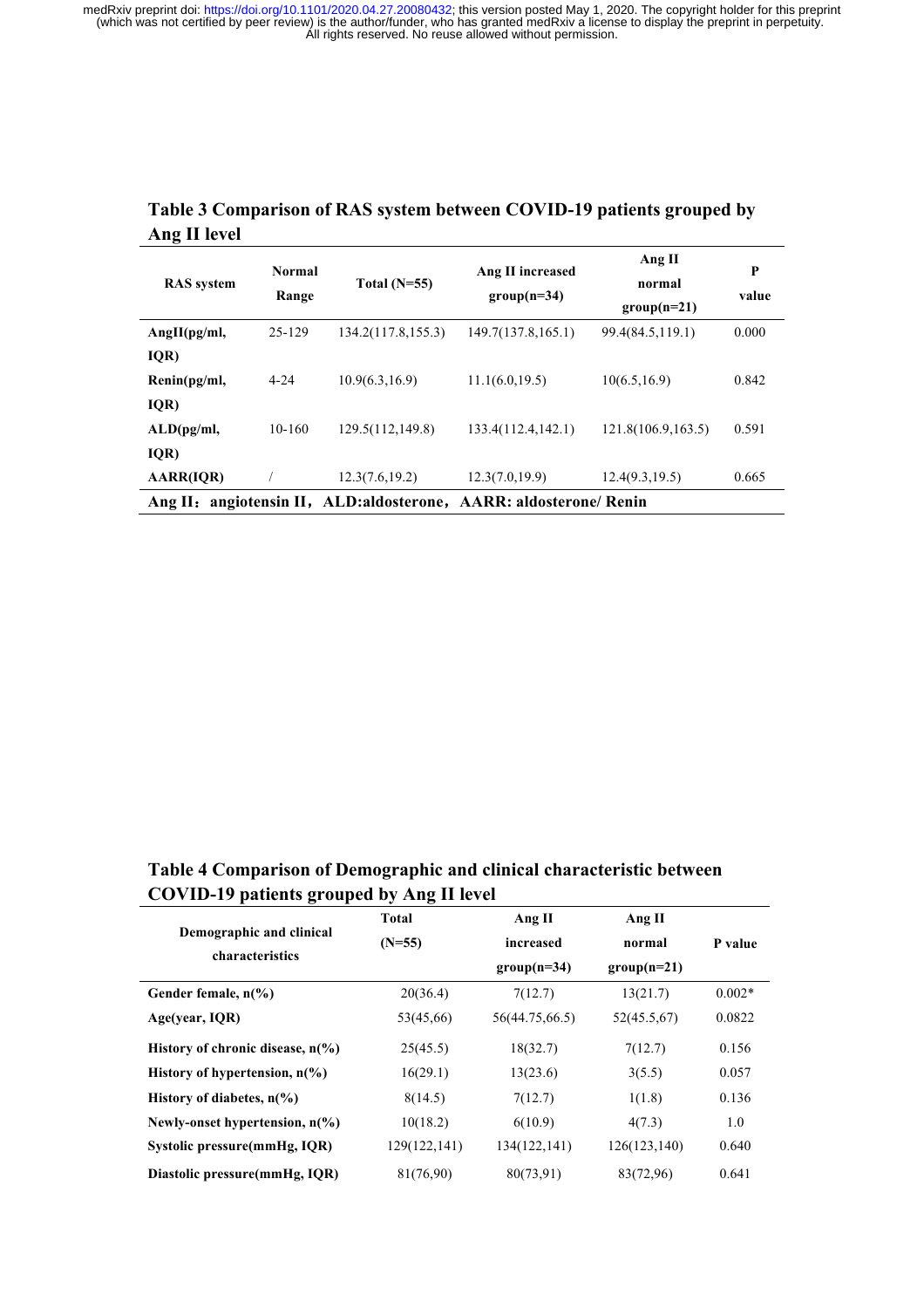| <b>RAS</b> system                         | <b>Normal</b><br>Range | Total $(N=55)$                    | Ang II increased<br>$group(n=34)$ | Ang II<br>normal<br>$group(n=21)$ | P<br>value |
|-------------------------------------------|------------------------|-----------------------------------|-----------------------------------|-----------------------------------|------------|
| Ang II(pg/ml,                             | 25-129                 | 134.2(117.8, 155.3)               | 149.7(137.8, 165.1)               | 99.4(84.5,119.1)                  | 0.000      |
| IQR)                                      |                        |                                   |                                   |                                   |            |
| $\mathbf{Renin}(\mathbf{pg}/\mathbf{ml})$ | $4 - 24$               | 10.9(6.3, 16.9)                   | 11.1(6.0, 19.5)                   | 10(6.5, 16.9)                     | 0.842      |
| IQR)                                      |                        |                                   |                                   |                                   |            |
| ALD(pg/ml,                                | 10-160                 | 129.5(112,149.8)                  | 133.4(112.4142.1)                 | 121.8(106.9, 163.5)               | 0.591      |
| IQR)                                      |                        |                                   |                                   |                                   |            |
| <b>AARR(IQR)</b>                          |                        | 12.3(7.6,19.2)                    | 12.3(7.0, 19.9)                   | 12.4(9.3, 19.5)                   | 0.665      |
| Ang $II:$                                 |                        | angiotensin II, ALD: aldosterone, | <b>AARR: aldosterone/ Renin</b>   |                                   |            |

### **Table 3 Comparison of RAS system between COVID-19 patients grouped by Ang II level**

**Table 4 Comparison of Demographic and clinical characteristic between COVID-19 patients grouped by Ang II level**

|                                            | <b>Total</b> | Ang II         | Ang II        |          |
|--------------------------------------------|--------------|----------------|---------------|----------|
| Demographic and clinical                   | $(N=55)$     | increased      | normal        | P value  |
| characteristics                            |              | $group(n=34)$  | $group(n=21)$ |          |
| Gender female, $n\frac{6}{6}$              | 20(36.4)     | 7(12.7)        | 13(21.7)      | $0.002*$ |
| Age(year, IQR)                             | 53(45,66)    | 56(44.75,66.5) | 52(45.5,67)   | 0.0822   |
| History of chronic disease, $n\frac{6}{6}$ | 25(45.5)     | 18(32.7)       | 7(12.7)       | 0.156    |
| History of hypertension, $n\frac{6}{6}$    | 16(29.1)     | 13(23.6)       | 3(5.5)        | 0.057    |
| History of diabetes, $n\frac{6}{6}$        | 8(14.5)      | 7(12.7)        | 1(1.8)        | 0.136    |
| Newly-onset hypertension, $n\frac{6}{6}$   | 10(18.2)     | 6(10.9)        | 4(7.3)        | 1.0      |
| Systolic pressure(mmHg, IQR)               | 129(122,141) | 134(122,141)   | 126(123,140)  | 0.640    |
| Diastolic pressure(mmHg, IQR)              | 81(76,90)    | 80(73,91)      | 83(72,96)     | 0.641    |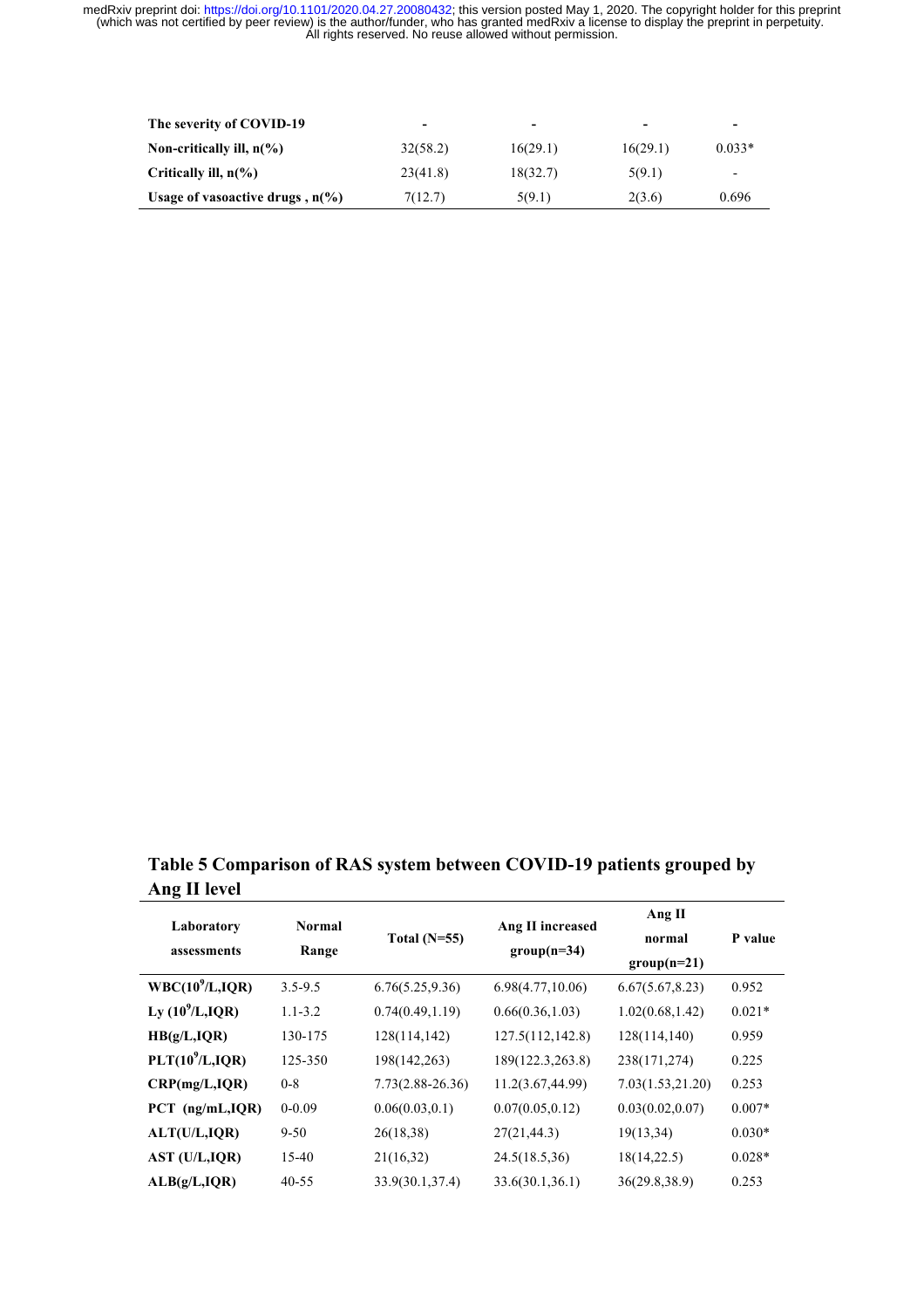| The severity of COVID-19                  | $\overline{\phantom{0}}$ | $\overline{\phantom{a}}$ | -        | $\overline{\phantom{0}}$ |
|-------------------------------------------|--------------------------|--------------------------|----------|--------------------------|
| Non-critically ill, $n\ll 0$              | 32(58.2)                 | 16(29.1)                 | 16(29.1) | $0.033*$                 |
| Critically ill, $n\frac{6}{6}$            | 23(41.8)                 | 18(32.7)                 | 5(9.1)   | $\overline{\phantom{a}}$ |
| Usage of vasoactive drugs, $n\frac{6}{6}$ | 7(12.7)                  | 5(9.1)                   | 2(3.6)   | 0.696                    |

**Table 5 Comparison of RAS system between COVID-19 patients grouped by Ang II level**

|                             |               |                      |                  | Ang II           |          |
|-----------------------------|---------------|----------------------|------------------|------------------|----------|
| Laboratory                  | <b>Normal</b> | Total $(N=55)$       | Ang II increased | normal           | P value  |
| assessments                 | Range         |                      | $group(n=34)$    | $group(n=21)$    |          |
| WBC(10 <sup>9</sup> /L,IQR) | $3.5 - 9.5$   | 6.76(5.25, 9.36)     | 6.98(4.77,10.06) | 6.67(5.67, 8.23) | 0.952    |
| Ly $(10^9$ /L,IQR)          | $1.1 - 3.2$   | 0.74(0.49, 1.19)     | 0.66(0.36, 1.03) | 1.02(0.68, 1.42) | $0.021*$ |
| HB(g/L,IQR)                 | 130-175       | 128(114,142)         | 127.5(112,142.8) | 128(114,140)     | 0.959    |
| PLT(10 <sup>9</sup> /L,IQR) | 125-350       | 198(142,263)         | 189(122.3,263.8) | 238(171,274)     | 0.225    |
| CRP(mg/L,IQR)               | $0 - 8$       | $7.73(2.88 - 26.36)$ | 11.2(3.67,44.99) | 7.03(1.53,21.20) | 0.253    |
| $PCT$ (ng/mL, IQR)          | $0 - 0.09$    | 0.06(0.03, 0.1)      | 0.07(0.05, 0.12) | 0.03(0.02, 0.07) | $0.007*$ |
| ALT(U/L,IQR)                | $9 - 50$      | 26(18,38)            | 27(21, 44.3)     | 19(13,34)        | $0.030*$ |
| AST (U/L, IQR)              | 15-40         | 21(16,32)            | 24.5(18.5,36)    | 18(14,22.5)      | $0.028*$ |
| ALB(g/L,IQR)                | $40 - 55$     | 33.9(30.1,37.4)      | 33.6(30.1, 36.1) | 36(29.8, 38.9)   | 0.253    |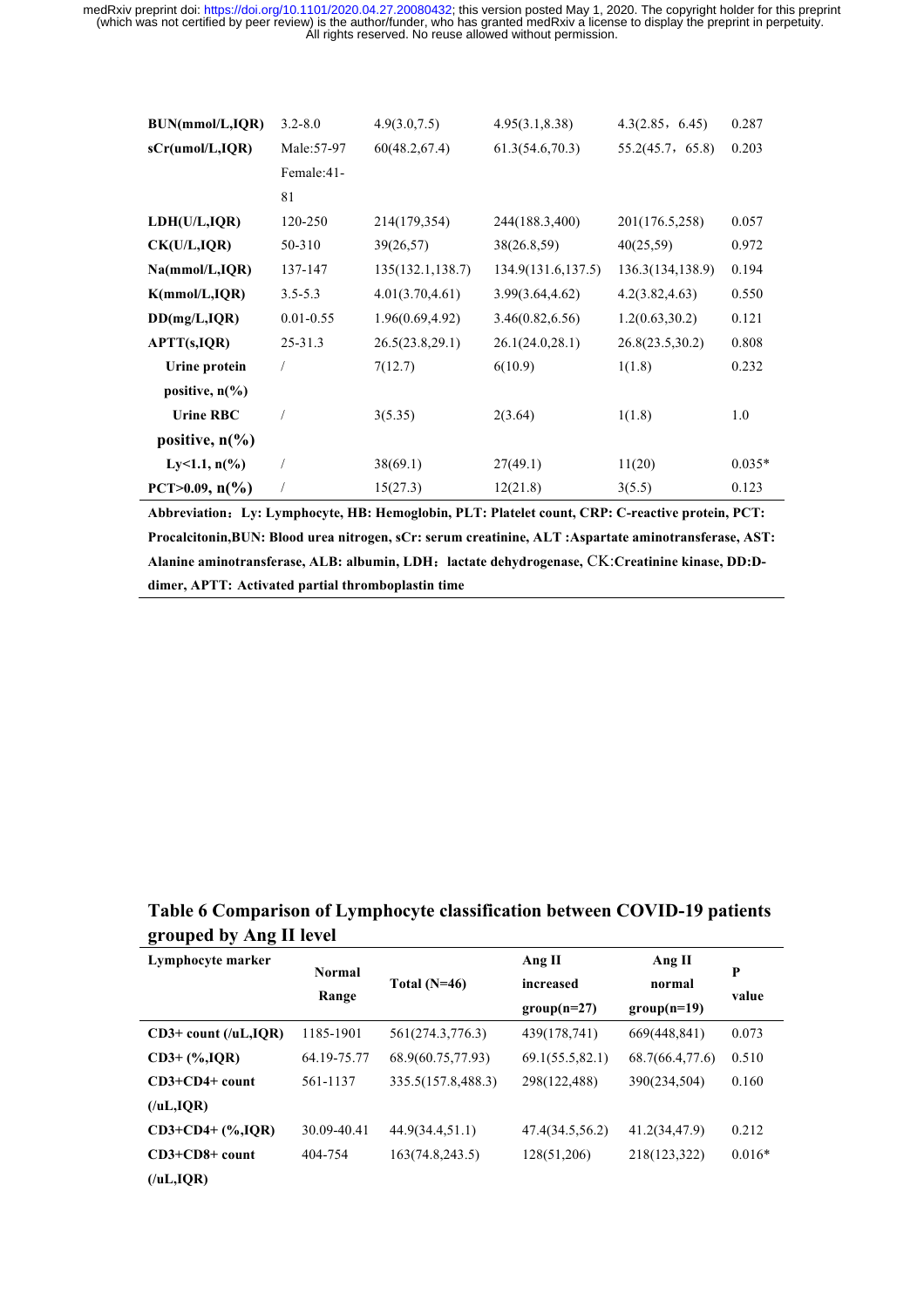| BUN(mmol/L,IQR)                    | $3.2 - 8.0$   | 4.9(3.0, 7.5)    | 4.95(3.1, 8.38)     | 4.3(2.85, 6.45)  | 0.287    |
|------------------------------------|---------------|------------------|---------------------|------------------|----------|
| sCr(umol/L,IQR)                    | Male: 57-97   | 60(48.2,67.4)    | 61.3(54.6,70.3)     | 55.2(45.7, 65.8) | 0.203    |
|                                    | Female:41-    |                  |                     |                  |          |
|                                    | 81            |                  |                     |                  |          |
| LDH(U/L,IQR)                       | 120-250       | 214(179,354)     | 244(188.3,400)      | 201(176.5,258)   | 0.057    |
| CK(U/L,IQR)                        | 50-310        | 39(26,57)        | 38(26.8,59)         | 40(25,59)        | 0.972    |
| Na(mmol/L,IQR)                     | 137-147       | 135(132.1,138.7) | 134.9(131.6, 137.5) | 136.3(134,138.9) | 0.194    |
| K(mmol/L, IQR)                     | $3.5 - 5.3$   | 4.01(3.70, 4.61) | 3.99(3.64, 4.62)    | 4.2(3.82, 4.63)  | 0.550    |
| DD(mg/L,IQR)                       | $0.01 - 0.55$ | 1.96(0.69, 4.92) | 3.46(0.82, 6.56)    | 1.2(0.63, 30.2)  | 0.121    |
| APTT(s,IQR)                        | $25 - 31.3$   | 26.5(23.8,29.1)  | 26.1(24.0, 28.1)    | 26.8(23.5,30.2)  | 0.808    |
| Urine protein                      |               | 7(12.7)          | 6(10.9)             | 1(1.8)           | 0.232    |
| positive, $n\binom{0}{0}$          |               |                  |                     |                  |          |
| <b>Urine RBC</b>                   |               | 3(5.35)          | 2(3.64)             | 1(1.8)           | 1.0      |
| positive, $n\llap/$ <sub>0</sub> ) |               |                  |                     |                  |          |
| Ly<1.1, $n\frac{6}{6}$             |               | 38(69.1)         | 27(49.1)            | 11(20)           | $0.035*$ |
| PCT>0.09, $n\frac{6}{6}$           |               | 15(27.3)         | 12(21.8)            | 3(5.5)           | 0.123    |

**Abbreviation**:**Ly: Lymphocyte, HB: Hemoglobin, PLT: Platelet count, CRP: C-reactive protein, PCT: Procalcitonin,BUN: Blood urea nitrogen, sCr: serum creatinine, ALT :Aspartate aminotransferase, AST: Alanine aminotransferase, ALB: albumin, LDH**:**lactate dehydrogenase,** CK:**Creatinine kinase, DD:Ddimer, APTT: Activated partial thromboplastin time**

## **Table 6 Comparison of Lymphocyte classification between COVID-19 patients grouped by Ang II level**

| Lymphocyte marker       | <b>Normal</b> | Total $(N=46)$     | Ang II          | Ang II          | P        |
|-------------------------|---------------|--------------------|-----------------|-----------------|----------|
|                         | Range         |                    | increased       | normal          | value    |
|                         |               |                    | $group(n=27)$   | $group(n=19)$   |          |
| $CD3+$ count (/uL, IQR) | 1185-1901     | 561(274.3,776.3)   | 439(178,741)    | 669(448,841)    | 0.073    |
| $CD3+$ (%, IQR)         | 64.19-75.77   | 68.9(60.75,77.93)  | 69.1(55.5,82.1) | 68.7(66.4,77.6) | 0.510    |
| $CD3+CD4+$ count        | 561-1137      | 335.5(157.8,488.3) | 298(122,488)    | 390(234,504)    | 0.160    |
| $($ /uL,IQR)            |               |                    |                 |                 |          |
| $CD3+CD4+$ $(\%$ , IQR) | 30.09-40.41   | 44.9(34.4,51.1)    | 47.4(34.5,56.2) | 41.2(34,47.9)   | 0.212    |
| $CD3+CD8+$ count        | 404-754       | 163(74.8, 243.5)   | 128(51,206)     | 218(123,322)    | $0.016*$ |
| $($ /uL,IQR)            |               |                    |                 |                 |          |